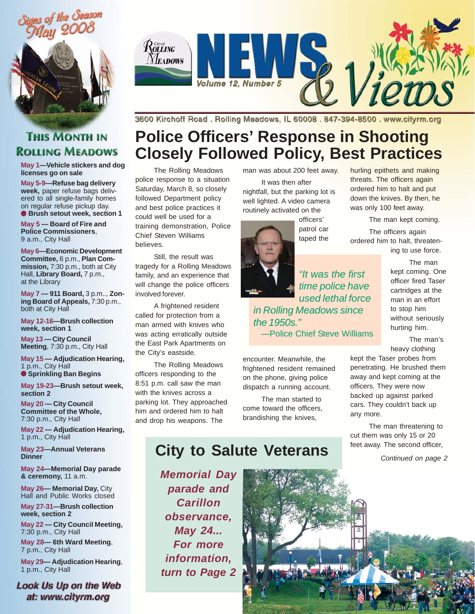





**May 1—Vehicle stickers and dog licenses go on sale**

**May 5-9—Refuse bag delivery week,** paper refuse bags delivered to all single-family homes on regular refuse pickup day. ● **Brush setout week, section 1**

**May 5 — Board of Fire and Police Commissioners**, 9 a.m., City Hall

**May 6—Economic Development Committee,** 6 p.m., **Plan Commission,** 7:30 p.m., both at City Hall, Library Board, 7 p.m., at the Library

**May 7 — 911 Board,** 3 p.m.., **Zoning Board of Appeals,** 7:30 p.m., both at City Hall

**May 12-16—Brush collection week, section 1**

**May 13 — City Council Meeting**, 7:30 p.m., City Hall

**May 15 — Adjudication Hearing,** 1 p.m., City Hall ● **Sprinkling Ban Begins**

**May 19-23—Brush setout week, section 2**

**May 20 — City Council Committee of the Whole,** 7:30 p.m., City Hall

**May 22 — Adjudication Hearing,** 1 p.m., City Hall

**May 23—Annual Veterans Dinner**

**May 24—Memorial Day parade & ceremony,** 11 a.m.

**May 26— Memorial Day,** City Hall and Public Works closed

**May 27-31—Brush collection week, section 2**

**May 22 — City Council Meeting,** 7:30 p.m., City Hall

**May 28— 6th Ward Meeting**, 7 p.m., City Hall

**May 29— Adjudication Hearing**, 1 p.m., City Hall

Look Us Up on the Web at: www.cityrm.org



3600 Kirchoff Road. Rolling Meadows, IL 60008. 847-394-8500. www.cityrm.org

## **Police Officers' Response in Shooting Closely Followed Policy, Best Practices**

The Rolling Meadows police response to a situation Saturday, March 8, so closely followed Department policy and best police practices it could well be used for a training demonstration, Police Chief Steven Williams believes.

Still, the result was tragedy for a Rolling Meadows family, and an experience that will change the police officers involved forever.

A frightened resident called for protection from a man armed with knives who was acting erratically outside the East Park Apartments on the City's eastside.

The Rolling Meadows officers responding to the 8:51 p.m. call saw the man with the knives across a parking lot. They approached him and ordered him to halt and drop his weapons. The

man was about 200 feet away.

It was then after nightfall, but the parking lot is well lighted. A video camera routinely activated on the

> officers' patrol car taped the

*"It was the first time police have used lethal force in Rolling Meadows since the 1950s."* —Police Chief Steve Williams

encounter. Meanwhile, the frightened resident remained on the phone, giving police dispatch a running account.

The man started to come toward the officers, brandishing the knives,

#### hurling epithets and making threats. The officers again ordered him to halt and put down the knives. By then, he was only 100 feet away.

The man kept coming. The officers again

ordered him to halt, threatening to use force.

> The man kept coming. One officer fired Taser cartridges at the man in an effort to stop him without seriously hurting him.

The man's heavy clothing

kept the Taser probes from penetrating. He brushed them away and kept coming at the officers. They were now backed up against parked cars. They couldn't back up any more.

The man threatening to cut them was only 15 or 20 feet away. The second officer,

*Continued on page 2*

*Memorial Day parade and Carillon observance, May 24... For more information, turn to Page 2*



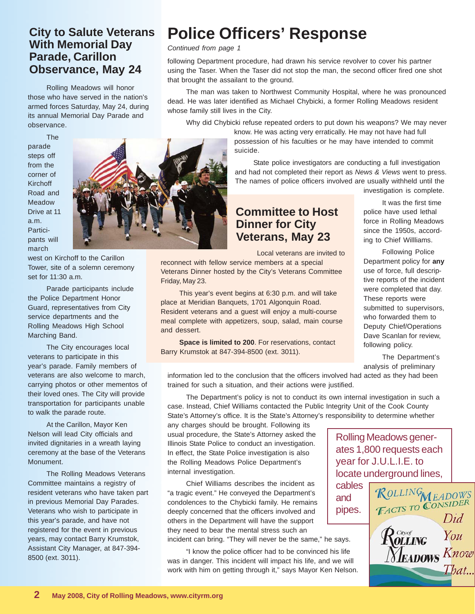#### **City to Salute Veterans With Memorial Day Parade, Carillon Observance, May 24**

Rolling Meadows will honor those who have served in the nation's armed forces Saturday, May 24, during its annual Memorial Day Parade and observance.

The parade steps off from the corner of **Kirchoff** Road and Meadow Drive at 11 a.m. Participants will march

west on Kirchoff to the Carillon Tower, site of a solemn ceremony set for 11:30 a.m.

Parade participants include the Police Department Honor Guard, representatives from City service departments and the Rolling Meadows High School Marching Band.

The City encourages local veterans to participate in this year's parade. Family members of veterans are also welcome to march, carrying photos or other mementos of their loved ones. The City will provide transportation for participants unable to walk the parade route.

At the Carillon, Mayor Ken Nelson will lead City officials and invited dignitaries in a wreath laying ceremony at the base of the Veterans Monument.

The Rolling Meadows Veterans Committee maintains a registry of resident veterans who have taken part in previous Memorial Day Parades. Veterans who wish to participate in this year's parade, and have not registered for the event in previous years, may contact Barry Krumstok, Assistant City Manager, at 847-394- 8500 (ext. 3011).

# **Police Officers' Response**

*Continued from page 1*

following Department procedure, had drawn his service revolver to cover his partner using the Taser. When the Taser did not stop the man, the second officer fired one shot that brought the assailant to the ground.

The man was taken to Northwest Community Hospital, where he was pronounced dead. He was later identified as Michael Chybicki, a former Rolling Meadows resident whose family still lives in the City.

Why did Chybicki refuse repeated orders to put down his weapons? We may never

know. He was acting very erratically. He may not have had full possession of his faculties or he may have intended to commit suicide.

State police investigators are conducting a full investigation and had not completed their report as *News & Views* went to press. The names of police officers involved are usually withheld until the investigation is complete.

#### **Committee to Host Dinner for City Veterans, May 23**

Local veterans are invited to

reconnect with fellow service members at a special Veterans Dinner hosted by the City's Veterans Committee Friday, May 23.

This year's event begins at 6:30 p.m. and will take place at Meridian Banquets, 1701 Algonquin Road. Resident veterans and a guest will enjoy a multi-course meal complete with appetizers, soup, salad, main course and dessert.

**Space is limited to 200**. For reservations, contact Barry Krumstok at 847-394-8500 (ext. 3011).

police have used lethal force in Rolling Meadows since the 1950s, according to Chief Willliams.

It was the first time

Following Police Department policy for **any** use of force, full descriptive reports of the incident were completed that day. These reports were submitted to supervisors, who forwarded them to Deputy Chief/Operations Dave Scanlan for review, following policy.

The Department's analysis of preliminary

information led to the conclusion that the officers involved had acted as they had been trained for such a situation, and their actions were justified.

The Department's policy is not to conduct its own internal investigation in such a case. Instead, Chief Williams contacted the Public Integrity Unit of the Cook County State's Attorney's office. It is the State's Attorney's responsibility to determine whether

any charges should be brought. Following its usual procedure, the State's Attorney asked the Illinois State Police to conduct an investigation. In effect, the State Police investigation is also the Rolling Meadows Police Department's internal investigation.

Chief Williams describes the incident as "a tragic event." He conveyed the Department's condolences to the Chybicki family. He remains deeply concerned that the officers involved and others in the Department will have the support they need to bear the mental stress such an incident can bring. "They will never be the same," he says.

"I know the police officer had to be convinced his life was in danger. This incident will impact his life, and we will work with him on getting through it," says Mayor Ken Nelson.

Rolling Meadows generates 1,800 requests each year for J.U.L.I.E. to

and

locate underground lines, cables ROLLING<br>TACTS TO CONSIDER pipes. Did  $\mathcal{R}^{\tiny \textit{Civof}}_{\tiny \textit{OLLING}}$ You Neadows Know That...

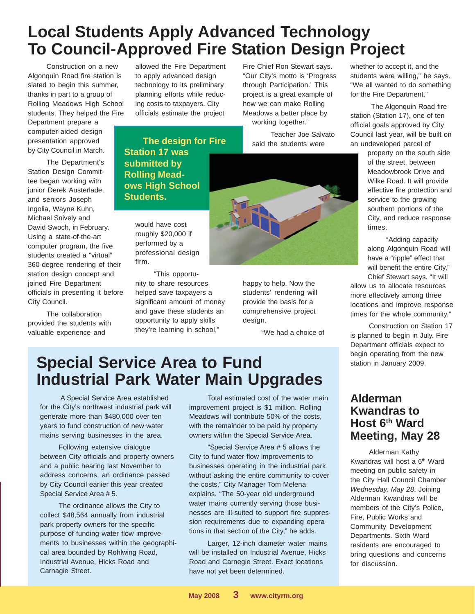## **Local Students Apply Advanced Technology To Council-Approved Fire Station Design Project**

Construction on a new Algonquin Road fire station is slated to begin this summer, thanks in part to a group of Rolling Meadows High School students. They helped the Fire

Department prepare a computer-aided design presentation approved by City Council in March.

The Department's Station Design Committee began working with junior Derek Austerlade, and seniors Joseph Ingolia, Wayne Kuhn, Michael Snively and David Swoch, in February. Using a state-of-the-art computer program, the five students created a "virtual" 360-degree rendering of their station design concept and joined Fire Department officials in presenting it before City Council.

The collaboration provided the students with valuable experience and

allowed the Fire Department to apply advanced design technology to its preliminary planning efforts while reducing costs to taxpayers. City officials estimate the project

**The design for Fire Station 17 was submitted by Rolling Meadows High School Students.**

would have cost roughly \$20,000 if performed by a professional design firm.

"This opportunity to share resources helped save taxpayers a significant amount of money and gave these students an opportunity to apply skills they're learning in school,"

Fire Chief Ron Stewart says. "Our City's motto is 'Progress through Participation.' This project is a great example of how we can make Rolling Meadows a better place by working together."

> Teacher Joe Salvato said the students were



students' rendering will provide the basis for a comprehensive project design.

"We had a choice of

whether to accept it, and the students were willing," he says. "We all wanted to do something for the Fire Department."

 The Algonquin Road fire station (Station 17), one of ten official goals approved by City Council last year, will be built on an undeveloped parcel of

> property on the south side of the street, between Meadowbrook Drive and Wilke Road. It will provide effective fire protection and service to the growing southern portions of the City, and reduce response times.

"Adding capacity along Algonquin Road will have a "ripple" effect that will benefit the entire City," Chief Stewart says. "It will

allow us to allocate resources more effectively among three locations and improve response times for the whole community."

Construction on Station 17 is planned to begin in July. Fire Department officials expect to begin operating from the new station in January 2009.

# **Special Service Area to Fund Industrial Park Water Main Upgrades**

 A Special Service Area established for the City's northwest industrial park will generate more than \$480,000 over ten years to fund construction of new water mains serving businesses in the area.

Following extensive dialogue between City officials and property owners and a public hearing last November to address concerns, an ordinance passed by City Council earlier this year created Special Service Area # 5.

The ordinance allows the City to collect \$48,564 annually from industrial park property owners for the specific purpose of funding water flow improvements to businesses within the geographical area bounded by Rohlwing Road, Industrial Avenue, Hicks Road and Carnagie Street.

Total estimated cost of the water main improvement project is \$1 million. Rolling Meadows will contribute 50% of the costs, with the remainder to be paid by property owners within the Special Service Area.

"Special Service Area # 5 allows the City to fund water flow improvements to businesses operating in the industrial park without asking the entire community to cover the costs," City Manager Tom Melena explains. "The 50-year old underground water mains currently serving those businesses are ill-suited to support fire suppression requirements due to expanding operations in that section of the City," he adds.

Larger, 12-inch diameter water mains will be installed on Industrial Avenue, Hicks Road and Carnegie Street. Exact locations have not yet been determined.

#### **Alderman Kwandras to Host 6th Ward Meeting, May 28**

Alderman Kathy Kwandras will host a 6<sup>th</sup> Ward meeting on public safety in the City Hall Council Chamber *Wednesday, May 28*. Joining Alderman Kwandras will be members of the City's Police, Fire, Public Works and Community Development Departments. Sixth Ward residents are encouraged to bring questions and concerns for discussion.

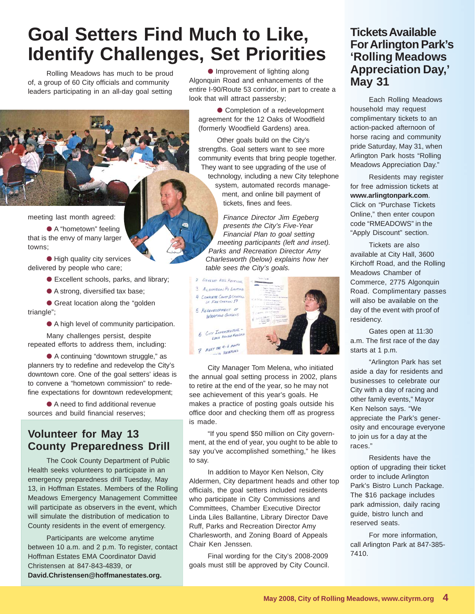# **Goal Setters Find Much to Like, Identify Challenges, Set Priorities**

Rolling Meadows has much to be proud of, a group of 60 City officials and community leaders participating in an all-day goal setting

meeting last month agreed:

● A "hometown" feeling that is the envy of many larger towns;

● High quality city services delivered by people who care;

● Excellent schools, parks, and library;

● A strong, diversified tax base;

● Great location along the "golden triangle";

● A high level of community participation.

Many challenges persist, despite repeated efforts to address them, including:

● A continuing "downtown struggle," as planners try to redefine and redevelop the City's downtown core. One of the goal setters' ideas is to convene a "hometown commission" to redefine expectations for downtown redevelopment;

● A need to find additional revenue sources and build financial reserves;

### **Volunteer for May 13 County Preparedness Drill**

The Cook County Department of Public Health seeks volunteers to participate in an emergency preparedness drill Tuesday, May 13, in Hoffman Estates. Members of the Rolling Meadows Emergency Management Committee will participate as observers in the event, which will simulate the distribution of medication to County residents in the event of emergency.

Participants are welcome anytime between 10 a.m. and 2 p.m. To register, contact Hoffman Estates EMA Coordinator David Christensen at 847-843-4839, or **David.Christensen@hoffmanestates.org.**

● Improvement of lighting along Algonquin Road and enhancements of the entire I-90/Route 53 corridor, in part to create a look that will attract passersby;

● Completion of a redevelopment agreement for the 12 Oaks of Woodfield (formerly Woodfield Gardens) area.

Other goals build on the City's strengths. Goal setters want to see more community events that bring people together. They want to see upgrading of the use of technology, including a new City telephone system, automated records management, and online bill payment of tickets, fines and fees.

*Finance Director Jim Egeberg presents the City's Five-Year Financial Plan to goal setting meeting participants (left and inset). Parks and Recreation Director Amy Charlesworth (below) explains how her table sees the City's goals.*



City Manager Tom Melena, who initiated the annual goal setting process in 2002, plans to retire at the end of the year, so he may not see achievement of this year's goals. He makes a practice of posting goals outside his office door and checking them off as progress is made.

"If you spend \$50 million on City government, at the end of year, you ought to be able to say you've accomplished something," he likes to say.

In addition to Mayor Ken Nelson, City Aldermen, City department heads and other top officials, the goal setters included residents who participate in City Commissions and Committees, Chamber Executive Director Linda Liles Ballantine, Library Director Dave Ruff, Parks and Recreation Director Amy Charlesworth, and Zoning Board of Appeals Chair Ken Jenssen.

Final wording for the City's 2008-2009 goals must still be approved by City Council.

#### **Tickets Available For Arlington Park's 'Rolling Meadows Appreciation Day,' May 31**

Each Rolling Meadows household may request complimentary tickets to an action-packed afternoon of horse racing and community pride Saturday, May 31, when Arlington Park hosts "Rolling Meadows Appreciation Day."

Residents may register for free admission tickets at **www.arlingtonpark.com**. Click on "Purchase Tickets Online," then enter coupon code "RMEADOWS" in the "Apply Discount" section.

Tickets are also available at City Hall, 3600 Kirchoff Road, and the Rolling Meadows Chamber of Commerce, 2775 Algonquin Road. Complimentary passes will also be available on the day of the event with proof of residency.

Gates open at 11:30 a.m. The first race of the day starts at 1 p.m.

"Arlington Park has set aside a day for residents and businesses to celebrate our City with a day of racing and other family events," Mayor Ken Nelson says. "We appreciate the Park's generosity and encourage everyone to join us for a day at the races."

Residents have the option of upgrading their ticket order to include Arlington Park's Bistro Lunch Package. The \$16 package includes park admission, daily racing guide, bistro lunch and reserved seats.

For more information, call Arlington Park at 847-385- 7410.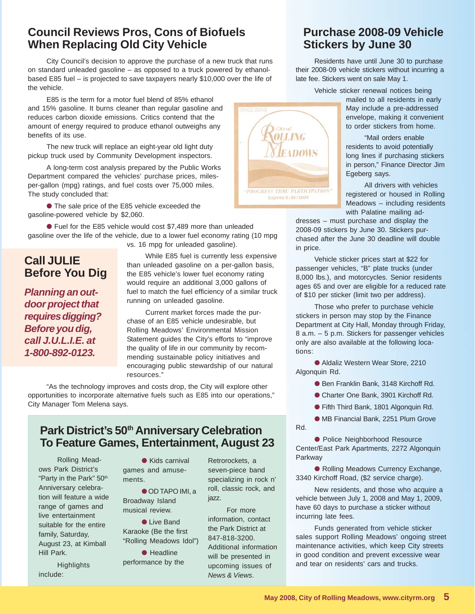#### **Council Reviews Pros, Cons of Biofuels When Replacing Old City Vehicle**

City Council's decision to approve the purchase of a new truck that runs on standard unleaded gasoline – as opposed to a truck powered by ethanolbased E85 fuel – is projected to save taxpayers nearly \$10,000 over the life of the vehicle.

E85 is the term for a motor fuel blend of 85% ethanol and 15% gasoline. It burns cleaner than regular gasoline and reduces carbon dioxide emissions. Critics contend that the amount of energy required to produce ethanol outweighs any benefits of its use.

The new truck will replace an eight-year old light duty pickup truck used by Community Development inspectors.

A long-term cost analysis prepared by the Public Works Department compared the vehicles' purchase prices, milesper-gallon (mpg) ratings, and fuel costs over 75,000 miles. The study concluded that:

● The sale price of the E85 vehicle exceeded the gasoline-powered vehicle by \$2,060.

● Fuel for the E85 vehicle would cost \$7,489 more than unleaded gasoline over the life of the vehicle, due to a lower fuel economy rating (10 mpg

vs. 16 mpg for unleaded gasoline).

#### **Call JULIE Before You Dig**

*Planning an outdoor project that requires digging? Before you dig, call J.U.L.I.E. at 1-800-892-0123.*

While E85 fuel is currently less expensive than unleaded gasoline on a per-gallon basis, the E85 vehicle's lower fuel economy rating would require an additional 3,000 gallons of fuel to match the fuel efficiency of a similar truck running on unleaded gasoline.

Current market forces made the purchase of an E85 vehicle undesirable, but Rolling Meadows' Environmental Mission Statement guides the City's efforts to "improve the quality of life in our community by recommending sustainable policy initiatives and encouraging public stewardship of our natural resources."

"As the technology improves and costs drop, the City will explore other opportunities to incorporate alternative fuels such as E85 into our operations," City Manager Tom Melena says.

#### **Park District's 50th Anniversary Celebration To Feature Games, Entertainment, August 23**

Rolling Meadows Park District's "Party in the Park" 50<sup>th</sup> Anniversary celebration will feature a wide range of games and live entertainment suitable for the entire family, Saturday, August 23, at Kimball Hill Park.

**Highlights** include:

● Kids carnival games and amusements.

● OD TAPO IMI, a Broadway Island musical review.

● Live Band Karaoke (Be the first "Rolling Meadows Idol")

● Headline performance by the

Retrorockets, a seven-piece band specializing in rock n' roll, classic rock, and jazz.

Rd.

For more information, contact the Park District at 847-818-3200. Additional information will be presented in upcoming issues of *News & Views*.

#### **Purchase 2008-09 Vehicle Stickers by June 30**

Residents have until June 30 to purchase their 2008-09 vehicle stickers without incurring a late fee. Stickers went on sale May 1.

Vehicle sticker renewal notices being

mailed to all residents in early May include a pre-addressed envelope, making it convenient to order stickers from home.

"Mail orders enable residents to avoid potentially long lines if purchasing stickers in person," Finance Director Jim Egeberg says.

All drivers with vehicles registered or housed in Rolling Meadows – including residents with Palatine mailing ad-

dresses – must purchase and display the 2008-09 stickers by June 30. Stickers purchased after the June 30 deadline will double in price.

Vehicle sticker prices start at \$22 for passenger vehicles, "B" plate trucks (under 8,000 lbs.), and motorcycles. Senior residents ages 65 and over are eligible for a reduced rate of \$10 per sticker (limit two per address).

Those who prefer to purchase vehicle stickers in person may stop by the Finance Department at City Hall, Monday through Friday, 8 a.m. – 5 p.m. Stickers for passenger vehicles only are also available at the following locations:

● Aldaliz Western Wear Store, 2210 Algonquin Rd.

● Ben Franklin Bank, 3148 Kirchoff Rd.

● Charter One Bank, 3901 Kirchoff Rd.

● Fifth Third Bank, 1801 Algonquin Rd.

● MB Financial Bank, 2251 Plum Grove

● Police Neighborhood Resource Center/East Park Apartments, 2272 Algonquin Parkway

● Rolling Meadows Currency Exchange, 3340 Kirchoff Road, (\$2 service charge).

New residents, and those who acquire a vehicle between July 1, 2008 and May 1, 2009, have 60 days to purchase a sticker without incurring late fees.

Funds generated from vehicle sticker sales support Rolling Meadows' ongoing street maintenance activities, which keep City streets in good condition and prevent excessive wear and tear on residents' cars and trucks.